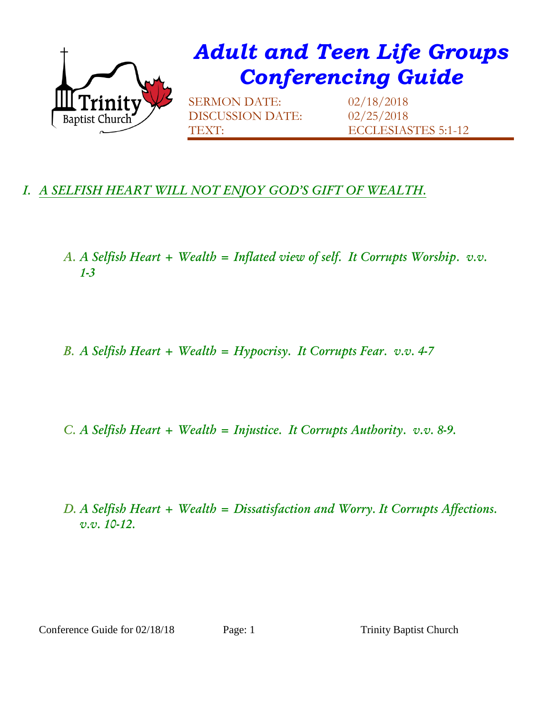

## *I. A SELFISH HEART WILL NOT ENJOY GOD'S GIFT OF WEALTH.*

- *A. A Selfish Heart + Wealth = Inflated view of self. It Corrupts Worship. v.v. 1-3*
- *B. A Selfish Heart + Wealth = Hypocrisy. It Corrupts Fear. v.v. 4-7*

*C. A Selfish Heart + Wealth = Injustice. It Corrupts Authority. v.v. 8-9.*

*D. A Selfish Heart + Wealth = Dissatisfaction and Worry. It Corrupts Affections. v.v. 10-12.*

Conference Guide for 02/18/18 Page: 1 Trinity Baptist Church